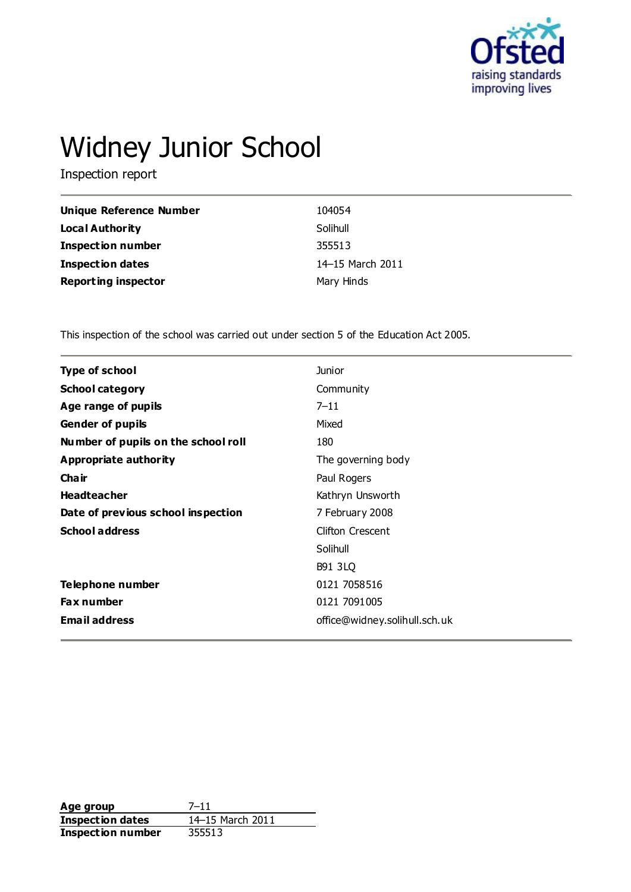

# Widney Junior School

Inspection report

| <b>Unique Reference Number</b> | 104054           |
|--------------------------------|------------------|
| Local Authority                | Solihull         |
| <b>Inspection number</b>       | 355513           |
| <b>Inspection dates</b>        | 14-15 March 2011 |
| <b>Reporting inspector</b>     | Mary Hinds       |

This inspection of the school was carried out under section 5 of the Education Act 2005.

| <b>Type of school</b>               | Junior                        |
|-------------------------------------|-------------------------------|
| <b>School category</b>              | Community                     |
| Age range of pupils                 | $7 - 11$                      |
| <b>Gender of pupils</b>             | Mixed                         |
| Number of pupils on the school roll | 180                           |
| Appropriate authority               | The governing body            |
| Cha ir                              | Paul Rogers                   |
| <b>Headteacher</b>                  | Kathryn Unsworth              |
| Date of previous school inspection  | 7 February 2008               |
| <b>School address</b>               | Clifton Crescent              |
|                                     | Solihull                      |
|                                     | <b>B91 3LQ</b>                |
| Telephone number                    | 0121 7058516                  |
| <b>Fax number</b>                   | 0121 7091005                  |
| <b>Email address</b>                | office@widney.solihull.sch.uk |
|                                     |                               |

**Age group** 7-11<br> **Inspection dates** 14-15 March 2011 **Inspection dates Inspection number** 355513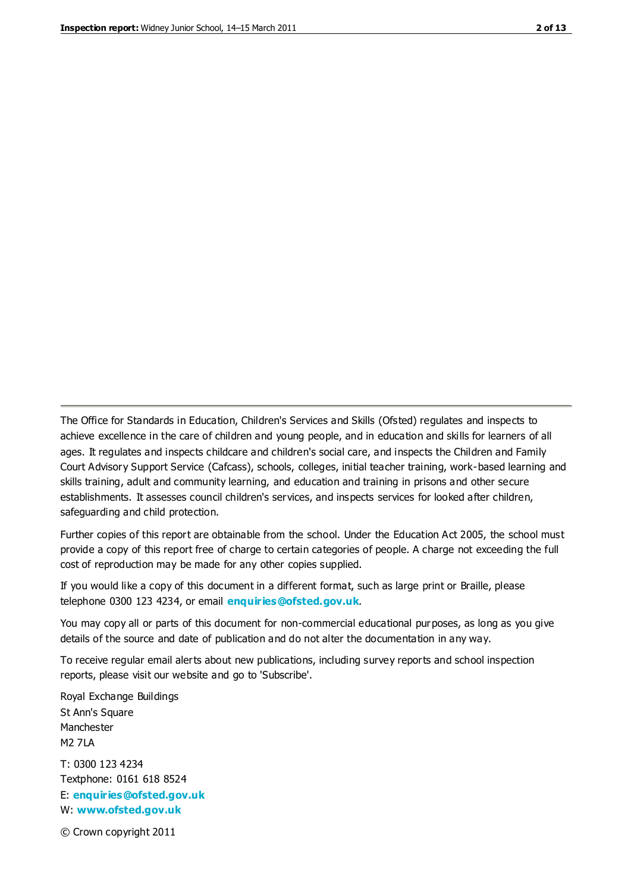The Office for Standards in Education, Children's Services and Skills (Ofsted) regulates and inspects to achieve excellence in the care of children and young people, and in education and skills for learners of all ages. It regulates and inspects childcare and children's social care, and inspects the Children and Family Court Advisory Support Service (Cafcass), schools, colleges, initial teacher training, work-based learning and skills training, adult and community learning, and education and training in prisons and other secure establishments. It assesses council children's services, and inspects services for looked after children, safeguarding and child protection.

Further copies of this report are obtainable from the school. Under the Education Act 2005, the school must provide a copy of this report free of charge to certain categories of people. A charge not exceeding the full cost of reproduction may be made for any other copies supplied.

If you would like a copy of this document in a different format, such as large print or Braille, please telephone 0300 123 4234, or email **[enquiries@ofsted.gov.uk](mailto:enquiries@ofsted.gov.uk)**.

You may copy all or parts of this document for non-commercial educational purposes, as long as you give details of the source and date of publication and do not alter the documentation in any way.

To receive regular email alerts about new publications, including survey reports and school inspection reports, please visit our website and go to 'Subscribe'.

Royal Exchange Buildings St Ann's Square Manchester M2 7LA T: 0300 123 4234 Textphone: 0161 618 8524 E: **[enquiries@ofsted.gov.uk](mailto:enquiries@ofsted.gov.uk)**

W: **[www.ofsted.gov.uk](http://www.ofsted.gov.uk/)**

© Crown copyright 2011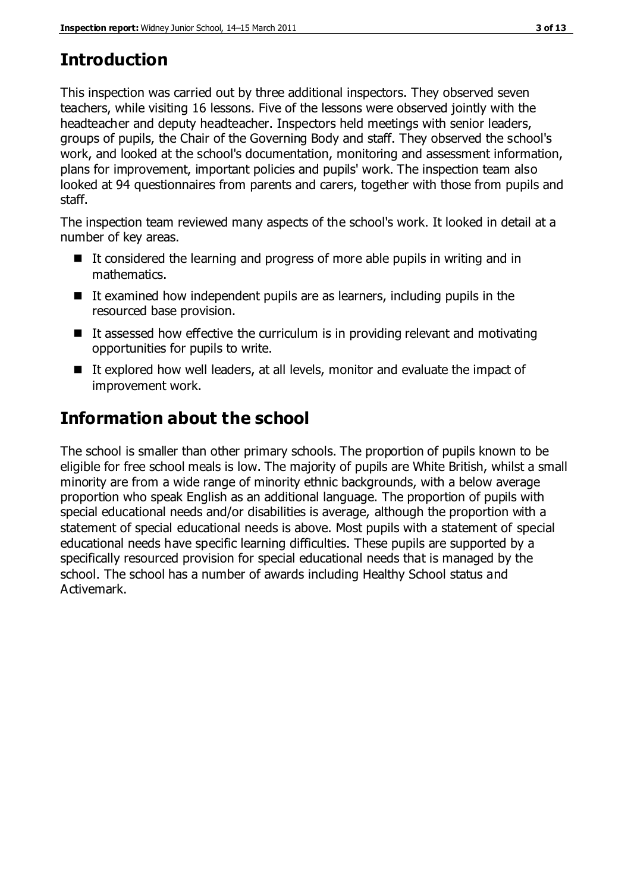# **Introduction**

This inspection was carried out by three additional inspectors. They observed seven teachers, while visiting 16 lessons. Five of the lessons were observed jointly with the headteacher and deputy headteacher. Inspectors held meetings with senior leaders, groups of pupils, the Chair of the Governing Body and staff. They observed the school's work, and looked at the school's documentation, monitoring and assessment information, plans for improvement, important policies and pupils' work. The inspection team also looked at 94 questionnaires from parents and carers, together with those from pupils and staff.

The inspection team reviewed many aspects of the school's work. It looked in detail at a number of key areas.

- $\blacksquare$  It considered the learning and progress of more able pupils in writing and in mathematics.
- It examined how independent pupils are as learners, including pupils in the resourced base provision.
- $\blacksquare$  It assessed how effective the curriculum is in providing relevant and motivating opportunities for pupils to write.
- It explored how well leaders, at all levels, monitor and evaluate the impact of improvement work.

# **Information about the school**

The school is smaller than other primary schools. The proportion of pupils known to be eligible for free school meals is low. The majority of pupils are White British, whilst a small minority are from a wide range of minority ethnic backgrounds, with a below average proportion who speak English as an additional language. The proportion of pupils with special educational needs and/or disabilities is average, although the proportion with a statement of special educational needs is above. Most pupils with a statement of special educational needs have specific learning difficulties. These pupils are supported by a specifically resourced provision for special educational needs that is managed by the school. The school has a number of awards including Healthy School status and Activemark.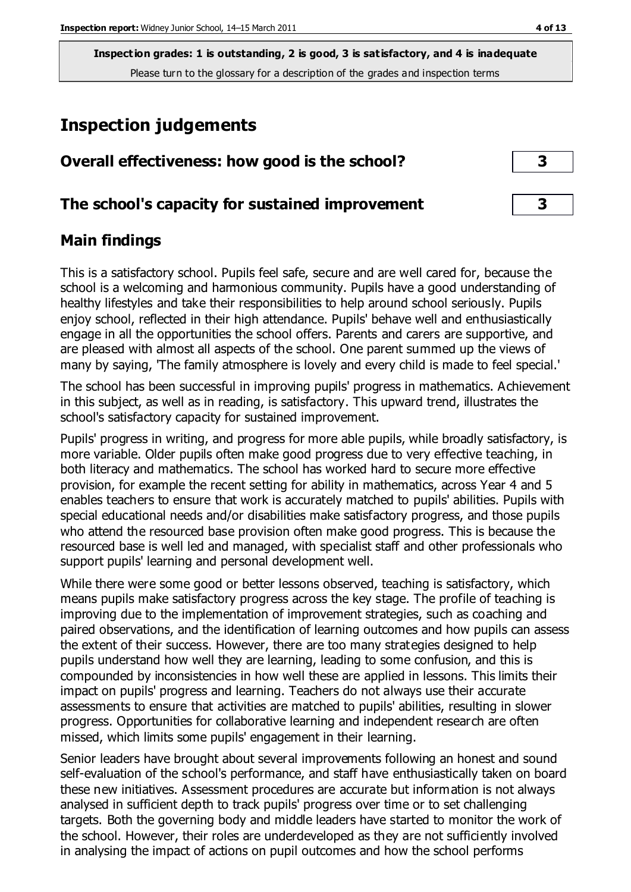**Inspection grades: 1 is outstanding, 2 is good, 3 is satisfactory, and 4 is inadequate** Please turn to the glossary for a description of the grades and inspection terms

# **Inspection judgements**

| Overall effectiveness: how good is the school?  |  |
|-------------------------------------------------|--|
| The school's capacity for sustained improvement |  |

### **Main findings**

This is a satisfactory school. Pupils feel safe, secure and are well cared for, because the school is a welcoming and harmonious community. Pupils have a good understanding of healthy lifestyles and take their responsibilities to help around school seriously. Pupils enjoy school, reflected in their high attendance. Pupils' behave well and enthusiastically engage in all the opportunities the school offers. Parents and carers are supportive, and are pleased with almost all aspects of the school. One parent summed up the views of many by saying, 'The family atmosphere is lovely and every child is made to feel special.'

The school has been successful in improving pupils' progress in mathematics. Achievement in this subject, as well as in reading, is satisfactory. This upward trend, illustrates the school's satisfactory capacity for sustained improvement.

Pupils' progress in writing, and progress for more able pupils, while broadly satisfactory, is more variable. Older pupils often make good progress due to very effective teaching, in both literacy and mathematics. The school has worked hard to secure more effective provision, for example the recent setting for ability in mathematics, across Year 4 and 5 enables teachers to ensure that work is accurately matched to pupils' abilities. Pupils with special educational needs and/or disabilities make satisfactory progress, and those pupils who attend the resourced base provision often make good progress. This is because the resourced base is well led and managed, with specialist staff and other professionals who support pupils' learning and personal development well.

While there were some good or better lessons observed, teaching is satisfactory, which means pupils make satisfactory progress across the key stage. The profile of teaching is improving due to the implementation of improvement strategies, such as coaching and paired observations, and the identification of learning outcomes and how pupils can assess the extent of their success. However, there are too many strategies designed to help pupils understand how well they are learning, leading to some confusion, and this is compounded by inconsistencies in how well these are applied in lessons. This limits their impact on pupils' progress and learning. Teachers do not always use their accurate assessments to ensure that activities are matched to pupils' abilities, resulting in slower progress. Opportunities for collaborative learning and independent research are often missed, which limits some pupils' engagement in their learning.

Senior leaders have brought about several improvements following an honest and sound self-evaluation of the school's performance, and staff have enthusiastically taken on board these new initiatives. Assessment procedures are accurate but information is not always analysed in sufficient depth to track pupils' progress over time or to set challenging targets. Both the governing body and middle leaders have started to monitor the work of the school. However, their roles are underdeveloped as they are not sufficiently involved in analysing the impact of actions on pupil outcomes and how the school performs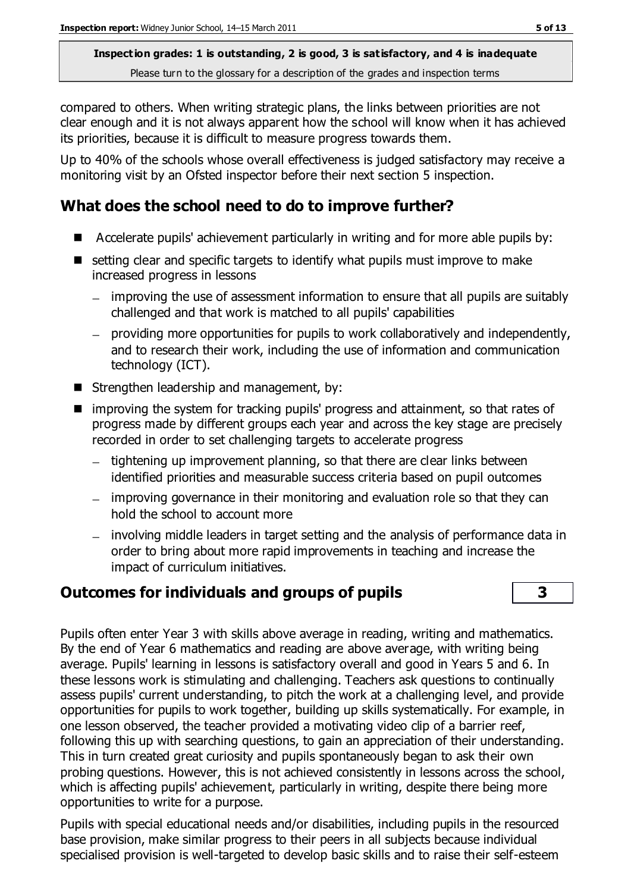**Inspection grades: 1 is outstanding, 2 is good, 3 is satisfactory, and 4 is inadequate** Please turn to the glossary for a description of the grades and inspection terms

compared to others. When writing strategic plans, the links between priorities are not clear enough and it is not always apparent how the school will know when it has achieved its priorities, because it is difficult to measure progress towards them.

Up to 40% of the schools whose overall effectiveness is judged satisfactory may receive a monitoring visit by an Ofsted inspector before their next section 5 inspection.

# **What does the school need to do to improve further?**

- Accelerate pupils' achievement particularly in writing and for more able pupils by:
- $\blacksquare$  setting clear and specific targets to identify what pupils must improve to make increased progress in lessons
	- improving the use of assessment information to ensure that all pupils are suitably challenged and that work is matched to all pupils' capabilities
	- providing more opportunities for pupils to work collaboratively and independently, and to research their work, including the use of information and communication technology (ICT).
- Strengthen leadership and management, by:
- **If** improving the system for tracking pupils' progress and attainment, so that rates of progress made by different groups each year and across the key stage are precisely recorded in order to set challenging targets to accelerate progress
	- $-$  tightening up improvement planning, so that there are clear links between identified priorities and measurable success criteria based on pupil outcomes
	- improving governance in their monitoring and evaluation role so that they can hold the school to account more
	- involving middle leaders in target setting and the analysis of performance data in order to bring about more rapid improvements in teaching and increase the impact of curriculum initiatives.

# **Outcomes for individuals and groups of pupils 3**



Pupils often enter Year 3 with skills above average in reading, writing and mathematics. By the end of Year 6 mathematics and reading are above average, with writing being average. Pupils' learning in lessons is satisfactory overall and good in Years 5 and 6. In these lessons work is stimulating and challenging. Teachers ask questions to continually assess pupils' current understanding, to pitch the work at a challenging level, and provide opportunities for pupils to work together, building up skills systematically. For example, in one lesson observed, the teacher provided a motivating video clip of a barrier reef, following this up with searching questions, to gain an appreciation of their understanding. This in turn created great curiosity and pupils spontaneously began to ask their own probing questions. However, this is not achieved consistently in lessons across the school, which is affecting pupils' achievement, particularly in writing, despite there being more opportunities to write for a purpose.

Pupils with special educational needs and/or disabilities, including pupils in the resourced base provision, make similar progress to their peers in all subjects because individual specialised provision is well-targeted to develop basic skills and to raise their self-esteem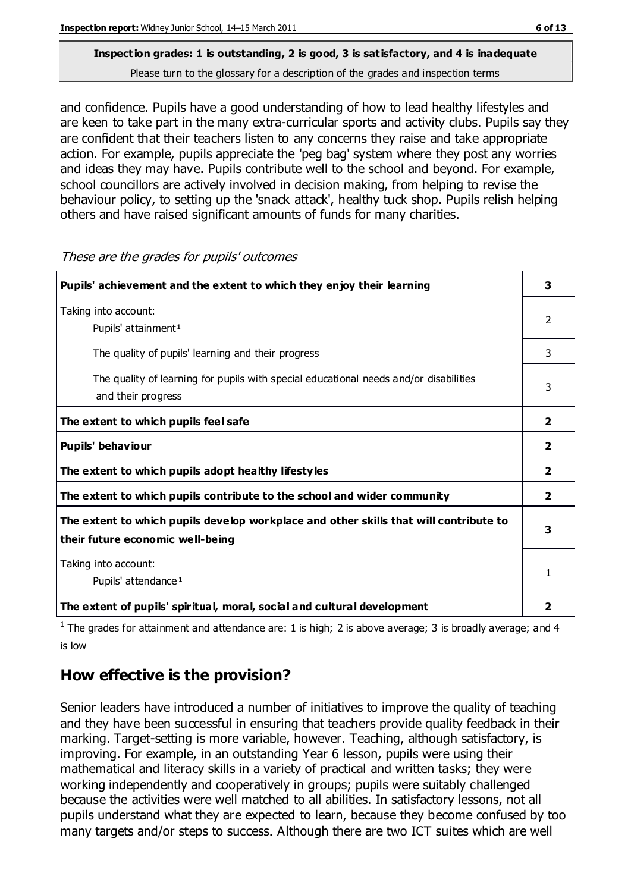# **Inspection grades: 1 is outstanding, 2 is good, 3 is satisfactory, and 4 is inadequate**

Please turn to the glossary for a description of the grades and inspection terms

and confidence. Pupils have a good understanding of how to lead healthy lifestyles and are keen to take part in the many extra-curricular sports and activity clubs. Pupils say they are confident that their teachers listen to any concerns they raise and take appropriate action. For example, pupils appreciate the 'peg bag' system where they post any worries and ideas they may have. Pupils contribute well to the school and beyond. For example, school councillors are actively involved in decision making, from helping to revise the behaviour policy, to setting up the 'snack attack', healthy tuck shop. Pupils relish helping others and have raised significant amounts of funds for many charities.

| Pupils' achievement and the extent to which they enjoy their learning                                                     |                |
|---------------------------------------------------------------------------------------------------------------------------|----------------|
| Taking into account:<br>Pupils' attainment <sup>1</sup>                                                                   | 2              |
| The quality of pupils' learning and their progress                                                                        | 3              |
| The quality of learning for pupils with special educational needs and/or disabilities<br>and their progress               |                |
| The extent to which pupils feel safe                                                                                      | $\overline{2}$ |
| Pupils' behaviour                                                                                                         | $\mathbf{2}$   |
| The extent to which pupils adopt healthy lifestyles                                                                       | $\overline{2}$ |
| The extent to which pupils contribute to the school and wider community                                                   | $\overline{2}$ |
| The extent to which pupils develop workplace and other skills that will contribute to<br>their future economic well-being | 3              |
| Taking into account:<br>Pupils' attendance <sup>1</sup>                                                                   | 1              |
| The extent of pupils' spiritual, moral, social and cultural development                                                   | 2              |

These are the grades for pupils' outcomes

<sup>1</sup> The grades for attainment and attendance are: 1 is high; 2 is above average; 3 is broadly average; and 4 is low

# **How effective is the provision?**

Senior leaders have introduced a number of initiatives to improve the quality of teaching and they have been successful in ensuring that teachers provide quality feedback in their marking. Target-setting is more variable, however. Teaching, although satisfactory, is improving. For example, in an outstanding Year 6 lesson, pupils were using their mathematical and literacy skills in a variety of practical and written tasks; they were working independently and cooperatively in groups; pupils were suitably challenged because the activities were well matched to all abilities. In satisfactory lessons, not all pupils understand what they are expected to learn, because they become confused by too many targets and/or steps to success. Although there are two ICT suites which are well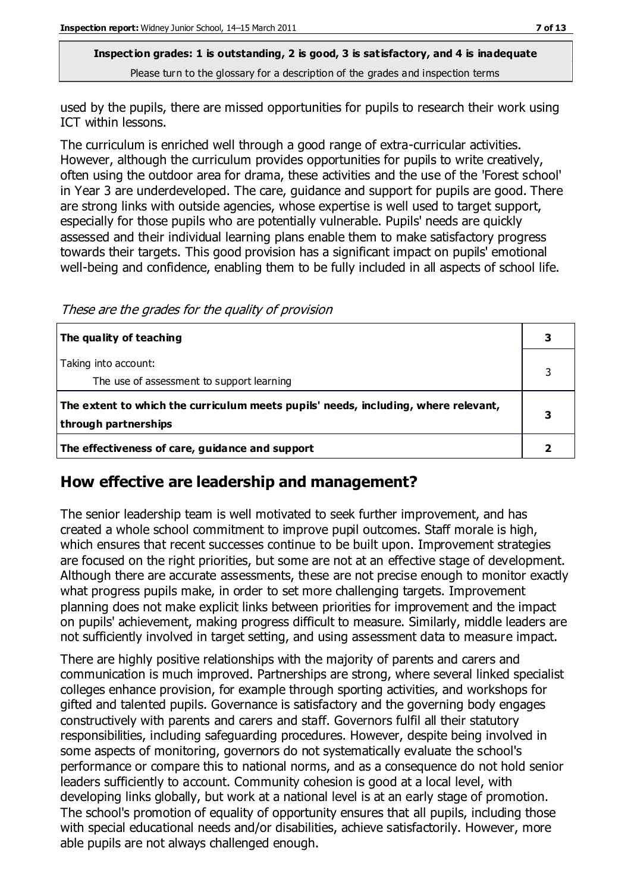**Inspection grades: 1 is outstanding, 2 is good, 3 is satisfactory, and 4 is inadequate** Please turn to the glossary for a description of the grades and inspection terms

used by the pupils, there are missed opportunities for pupils to research their work using ICT within lessons.

The curriculum is enriched well through a good range of extra-curricular activities. However, although the curriculum provides opportunities for pupils to write creatively, often using the outdoor area for drama, these activities and the use of the 'Forest school' in Year 3 are underdeveloped. The care, guidance and support for pupils are good. There are strong links with outside agencies, whose expertise is well used to target support, especially for those pupils who are potentially vulnerable. Pupils' needs are quickly assessed and their individual learning plans enable them to make satisfactory progress towards their targets. This good provision has a significant impact on pupils' emotional well-being and confidence, enabling them to be fully included in all aspects of school life.

These are the grades for the quality of provision

| The quality of teaching                                                                                    |  |
|------------------------------------------------------------------------------------------------------------|--|
| Taking into account:<br>The use of assessment to support learning                                          |  |
| The extent to which the curriculum meets pupils' needs, including, where relevant,<br>through partnerships |  |
| The effectiveness of care, guidance and support                                                            |  |

### **How effective are leadership and management?**

The senior leadership team is well motivated to seek further improvement, and has created a whole school commitment to improve pupil outcomes. Staff morale is high, which ensures that recent successes continue to be built upon. Improvement strategies are focused on the right priorities, but some are not at an effective stage of development. Although there are accurate assessments, these are not precise enough to monitor exactly what progress pupils make, in order to set more challenging targets. Improvement planning does not make explicit links between priorities for improvement and the impact on pupils' achievement, making progress difficult to measure. Similarly, middle leaders are not sufficiently involved in target setting, and using assessment data to measure impact.

There are highly positive relationships with the majority of parents and carers and communication is much improved. Partnerships are strong, where several linked specialist colleges enhance provision, for example through sporting activities, and workshops for gifted and talented pupils. Governance is satisfactory and the governing body engages constructively with parents and carers and staff. Governors fulfil all their statutory responsibilities, including safeguarding procedures. However, despite being involved in some aspects of monitoring, governors do not systematically evaluate the school's performance or compare this to national norms, and as a consequence do not hold senior leaders sufficiently to account. Community cohesion is good at a local level, with developing links globally, but work at a national level is at an early stage of promotion. The school's promotion of equality of opportunity ensures that all pupils, including those with special educational needs and/or disabilities, achieve satisfactorily. However, more able pupils are not always challenged enough.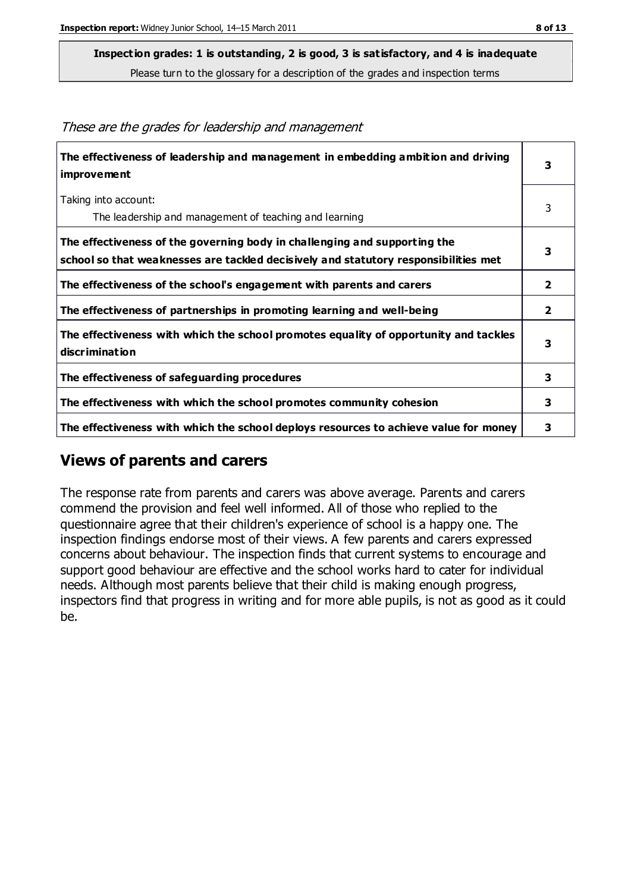**Inspection grades: 1 is outstanding, 2 is good, 3 is satisfactory, and 4 is inadequate**

Please turn to the glossary for a description of the grades and inspection terms

| The effectiveness of leadership and management in embedding ambition and driving<br><i>improvement</i>                                                           | 3                       |
|------------------------------------------------------------------------------------------------------------------------------------------------------------------|-------------------------|
| Taking into account:<br>The leadership and management of teaching and learning                                                                                   | 3                       |
| The effectiveness of the governing body in challenging and supporting the<br>school so that weaknesses are tackled decisively and statutory responsibilities met | 3                       |
| The effectiveness of the school's engagement with parents and carers                                                                                             | $\overline{\mathbf{2}}$ |
| The effectiveness of partnerships in promoting learning and well-being                                                                                           | $\overline{2}$          |
| The effectiveness with which the school promotes equality of opportunity and tackles<br>discrimination                                                           | 3                       |
| The effectiveness of safeguarding procedures                                                                                                                     | 3                       |
| The effectiveness with which the school promotes community cohesion                                                                                              | 3                       |
| The effectiveness with which the school deploys resources to achieve value for money                                                                             | 3                       |

#### These are the grades for leadership and management

### **Views of parents and carers**

The response rate from parents and carers was above average. Parents and carers commend the provision and feel well informed. All of those who replied to the questionnaire agree that their children's experience of school is a happy one. The inspection findings endorse most of their views. A few parents and carers expressed concerns about behaviour. The inspection finds that current systems to encourage and support good behaviour are effective and the school works hard to cater for individual needs. Although most parents believe that their child is making enough progress, inspectors find that progress in writing and for more able pupils, is not as good as it could be.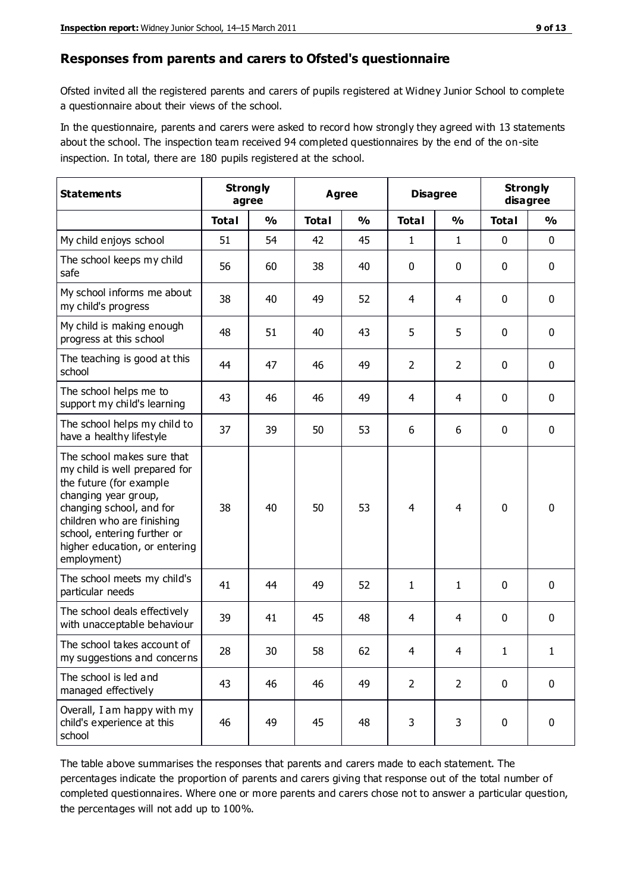#### **Responses from parents and carers to Ofsted's questionnaire**

Ofsted invited all the registered parents and carers of pupils registered at Widney Junior School to complete a questionnaire about their views of the school.

In the questionnaire, parents and carers were asked to record how strongly they agreed with 13 statements about the school. The inspection team received 94 completed questionnaires by the end of the on-site inspection. In total, there are 180 pupils registered at the school.

| <b>Statements</b>                                                                                                                                                                                                                                       | <b>Strongly</b><br>agree |               | Agree        |               | <b>Disagree</b> |                | <b>Strongly</b><br>disagree |               |
|---------------------------------------------------------------------------------------------------------------------------------------------------------------------------------------------------------------------------------------------------------|--------------------------|---------------|--------------|---------------|-----------------|----------------|-----------------------------|---------------|
|                                                                                                                                                                                                                                                         | <b>Total</b>             | $\frac{0}{0}$ | <b>Total</b> | $\frac{0}{0}$ | <b>Total</b>    | $\frac{0}{0}$  | <b>Total</b>                | $\frac{0}{0}$ |
| My child enjoys school                                                                                                                                                                                                                                  | 51                       | 54            | 42           | 45            | 1               | $\mathbf{1}$   | $\mathbf 0$                 | $\mathbf 0$   |
| The school keeps my child<br>safe                                                                                                                                                                                                                       | 56                       | 60            | 38           | 40            | 0               | 0              | $\mathbf 0$                 | $\mathbf 0$   |
| My school informs me about<br>my child's progress                                                                                                                                                                                                       | 38                       | 40            | 49           | 52            | 4               | 4              | $\mathbf 0$                 | $\mathbf 0$   |
| My child is making enough<br>progress at this school                                                                                                                                                                                                    | 48                       | 51            | 40           | 43            | 5               | 5              | 0                           | $\mathbf 0$   |
| The teaching is good at this<br>school                                                                                                                                                                                                                  | 44                       | 47            | 46           | 49            | $\overline{2}$  | $\overline{2}$ | $\mathbf 0$                 | $\mathbf 0$   |
| The school helps me to<br>support my child's learning                                                                                                                                                                                                   | 43                       | 46            | 46           | 49            | 4               | 4              | $\mathbf 0$                 | $\mathbf 0$   |
| The school helps my child to<br>have a healthy lifestyle                                                                                                                                                                                                | 37                       | 39            | 50           | 53            | 6               | 6              | $\mathbf 0$                 | $\mathbf 0$   |
| The school makes sure that<br>my child is well prepared for<br>the future (for example<br>changing year group,<br>changing school, and for<br>children who are finishing<br>school, entering further or<br>higher education, or entering<br>employment) | 38                       | 40            | 50           | 53            | $\overline{4}$  | 4              | $\mathbf 0$                 | $\mathbf 0$   |
| The school meets my child's<br>particular needs                                                                                                                                                                                                         | 41                       | 44            | 49           | 52            | 1               | $\mathbf{1}$   | $\mathbf 0$                 | $\mathbf 0$   |
| The school deals effectively<br>with unacceptable behaviour                                                                                                                                                                                             | 39                       | 41            | 45           | 48            | 4               | 4              | $\mathbf 0$                 | 0             |
| The school takes account of<br>my suggestions and concerns                                                                                                                                                                                              | 28                       | 30            | 58           | 62            | 4               | 4              | 1                           | 1             |
| The school is led and<br>managed effectively                                                                                                                                                                                                            | 43                       | 46            | 46           | 49            | $\overline{2}$  | $\overline{2}$ | $\mathbf 0$                 | $\mathbf 0$   |
| Overall, I am happy with my<br>child's experience at this<br>school                                                                                                                                                                                     | 46                       | 49            | 45           | 48            | 3               | 3              | $\mathbf 0$                 | $\mathbf 0$   |

The table above summarises the responses that parents and carers made to each statement. The percentages indicate the proportion of parents and carers giving that response out of the total number of completed questionnaires. Where one or more parents and carers chose not to answer a particular question, the percentages will not add up to 100%.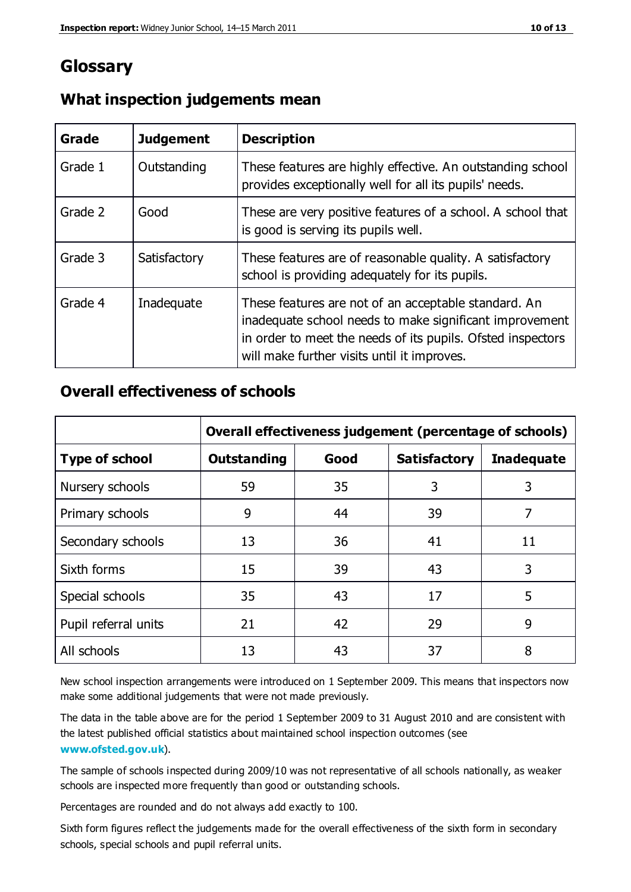# **Glossary**

| Grade   | <b>Judgement</b> | <b>Description</b>                                                                                                                                                                                                            |
|---------|------------------|-------------------------------------------------------------------------------------------------------------------------------------------------------------------------------------------------------------------------------|
| Grade 1 | Outstanding      | These features are highly effective. An outstanding school<br>provides exceptionally well for all its pupils' needs.                                                                                                          |
| Grade 2 | Good             | These are very positive features of a school. A school that<br>is good is serving its pupils well.                                                                                                                            |
| Grade 3 | Satisfactory     | These features are of reasonable quality. A satisfactory<br>school is providing adequately for its pupils.                                                                                                                    |
| Grade 4 | Inadequate       | These features are not of an acceptable standard. An<br>inadequate school needs to make significant improvement<br>in order to meet the needs of its pupils. Ofsted inspectors<br>will make further visits until it improves. |

### **What inspection judgements mean**

### **Overall effectiveness of schools**

|                       | Overall effectiveness judgement (percentage of schools) |      |                     |                   |
|-----------------------|---------------------------------------------------------|------|---------------------|-------------------|
| <b>Type of school</b> | <b>Outstanding</b>                                      | Good | <b>Satisfactory</b> | <b>Inadequate</b> |
| Nursery schools       | 59                                                      | 35   | 3                   | 3                 |
| Primary schools       | 9                                                       | 44   | 39                  | 7                 |
| Secondary schools     | 13                                                      | 36   | 41                  | 11                |
| Sixth forms           | 15                                                      | 39   | 43                  | 3                 |
| Special schools       | 35                                                      | 43   | 17                  | 5                 |
| Pupil referral units  | 21                                                      | 42   | 29                  | 9                 |
| All schools           | 13                                                      | 43   | 37                  | 8                 |

New school inspection arrangements were introduced on 1 September 2009. This means that inspectors now make some additional judgements that were not made previously.

The data in the table above are for the period 1 September 2009 to 31 August 2010 and are consistent with the latest published official statistics about maintained school inspection outcomes (see **[www.ofsted.gov.uk](http://www.ofsted.gov.uk/)**).

The sample of schools inspected during 2009/10 was not representative of all schools nationally, as weaker schools are inspected more frequently than good or outstanding schools.

Percentages are rounded and do not always add exactly to 100.

Sixth form figures reflect the judgements made for the overall effectiveness of the sixth form in secondary schools, special schools and pupil referral units.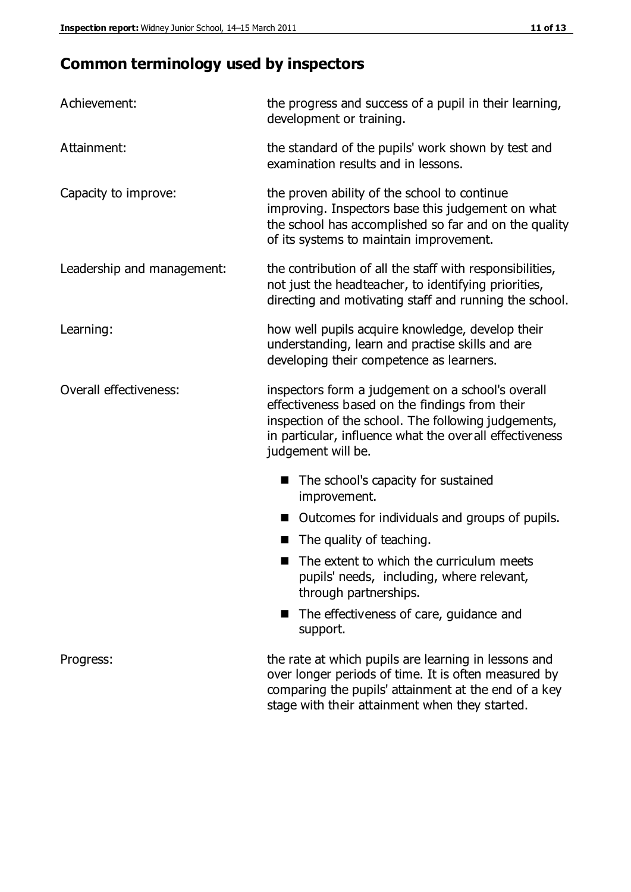# **Common terminology used by inspectors**

| Achievement:                  | the progress and success of a pupil in their learning,<br>development or training.                                                                                                                                                           |  |  |
|-------------------------------|----------------------------------------------------------------------------------------------------------------------------------------------------------------------------------------------------------------------------------------------|--|--|
| Attainment:                   | the standard of the pupils' work shown by test and<br>examination results and in lessons.                                                                                                                                                    |  |  |
| Capacity to improve:          | the proven ability of the school to continue<br>improving. Inspectors base this judgement on what<br>the school has accomplished so far and on the quality<br>of its systems to maintain improvement.                                        |  |  |
| Leadership and management:    | the contribution of all the staff with responsibilities,<br>not just the headteacher, to identifying priorities,<br>directing and motivating staff and running the school.                                                                   |  |  |
| Learning:                     | how well pupils acquire knowledge, develop their<br>understanding, learn and practise skills and are<br>developing their competence as learners.                                                                                             |  |  |
| <b>Overall effectiveness:</b> | inspectors form a judgement on a school's overall<br>effectiveness based on the findings from their<br>inspection of the school. The following judgements,<br>in particular, influence what the over all effectiveness<br>judgement will be. |  |  |
|                               | The school's capacity for sustained<br>improvement.                                                                                                                                                                                          |  |  |
|                               | Outcomes for individuals and groups of pupils.                                                                                                                                                                                               |  |  |
|                               | The quality of teaching.                                                                                                                                                                                                                     |  |  |
|                               | The extent to which the curriculum meets<br>pupils' needs, including, where relevant,<br>through partnerships.                                                                                                                               |  |  |
|                               | The effectiveness of care, guidance and<br>support.                                                                                                                                                                                          |  |  |
| Progress:                     | the rate at which pupils are learning in lessons and<br>over longer periods of time. It is often measured by<br>comparing the pupils' attainment at the end of a key                                                                         |  |  |

stage with their attainment when they started.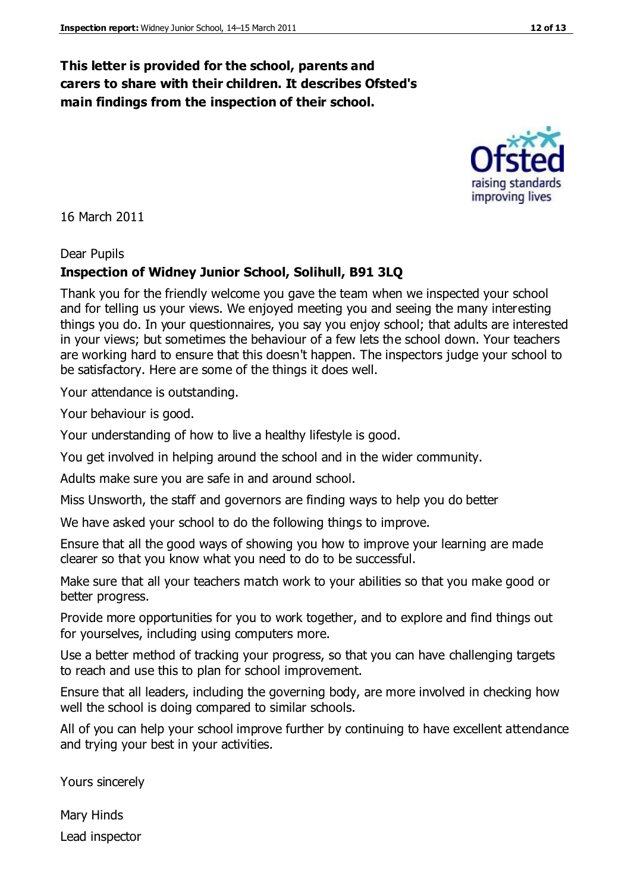### **This letter is provided for the school, parents and carers to share with their children. It describes Ofsted's main findings from the inspection of their school.**

16 March 2011

#### Dear Pupils

#### **Inspection of Widney Junior School, Solihull, B91 3LQ**

Thank you for the friendly welcome you gave the team when we inspected your school and for telling us your views. We enjoyed meeting you and seeing the many interesting things you do. In your questionnaires, you say you enjoy school; that adults are interested in your views; but sometimes the behaviour of a few lets the school down. Your teachers are working hard to ensure that this doesn't happen. The inspectors judge your school to be satisfactory. Here are some of the things it does well.

Your attendance is outstanding.

Your behaviour is good.

Your understanding of how to live a healthy lifestyle is good.

You get involved in helping around the school and in the wider community.

Adults make sure you are safe in and around school.

Miss Unsworth, the staff and governors are finding ways to help you do better

We have asked your school to do the following things to improve.

Ensure that all the good ways of showing you how to improve your learning are made clearer so that you know what you need to do to be successful.

Make sure that all your teachers match work to your abilities so that you make good or better progress.

Provide more opportunities for you to work together, and to explore and find things out for yourselves, including using computers more.

Use a better method of tracking your progress, so that you can have challenging targets to reach and use this to plan for school improvement.

Ensure that all leaders, including the governing body, are more involved in checking how well the school is doing compared to similar schools.

All of you can help your school improve further by continuing to have excellent attendance and trying your best in your activities.

Yours sincerely

Mary Hinds Lead inspector